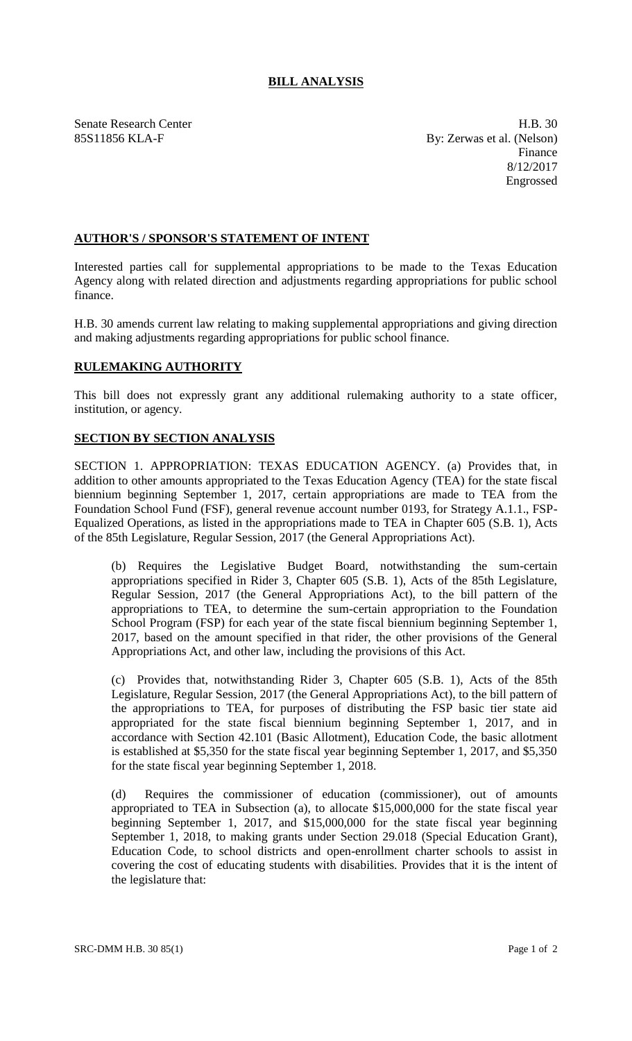## **BILL ANALYSIS**

Senate Research Center **H.B.** 30 85S11856 KLA-F By: Zerwas et al. (Nelson) Finance 8/12/2017 Engrossed

## **AUTHOR'S / SPONSOR'S STATEMENT OF INTENT**

Interested parties call for supplemental appropriations to be made to the Texas Education Agency along with related direction and adjustments regarding appropriations for public school finance.

H.B. 30 amends current law relating to making supplemental appropriations and giving direction and making adjustments regarding appropriations for public school finance.

## **RULEMAKING AUTHORITY**

This bill does not expressly grant any additional rulemaking authority to a state officer, institution, or agency.

## **SECTION BY SECTION ANALYSIS**

SECTION 1. APPROPRIATION: TEXAS EDUCATION AGENCY. (a) Provides that, in addition to other amounts appropriated to the Texas Education Agency (TEA) for the state fiscal biennium beginning September 1, 2017, certain appropriations are made to TEA from the Foundation School Fund (FSF), general revenue account number 0193, for Strategy A.1.1., FSP-Equalized Operations, as listed in the appropriations made to TEA in Chapter 605 (S.B. 1), Acts of the 85th Legislature, Regular Session, 2017 (the General Appropriations Act).

(b) Requires the Legislative Budget Board, notwithstanding the sum-certain appropriations specified in Rider 3, Chapter 605 (S.B. 1), Acts of the 85th Legislature, Regular Session, 2017 (the General Appropriations Act), to the bill pattern of the appropriations to TEA, to determine the sum-certain appropriation to the Foundation School Program (FSP) for each year of the state fiscal biennium beginning September 1, 2017, based on the amount specified in that rider, the other provisions of the General Appropriations Act, and other law, including the provisions of this Act.

(c) Provides that, notwithstanding Rider 3, Chapter 605 (S.B. 1), Acts of the 85th Legislature, Regular Session, 2017 (the General Appropriations Act), to the bill pattern of the appropriations to TEA, for purposes of distributing the FSP basic tier state aid appropriated for the state fiscal biennium beginning September 1, 2017, and in accordance with Section 42.101 (Basic Allotment), Education Code, the basic allotment is established at \$5,350 for the state fiscal year beginning September 1, 2017, and \$5,350 for the state fiscal year beginning September 1, 2018.

(d) Requires the commissioner of education (commissioner), out of amounts appropriated to TEA in Subsection (a), to allocate \$15,000,000 for the state fiscal year beginning September 1, 2017, and \$15,000,000 for the state fiscal year beginning September 1, 2018, to making grants under Section 29.018 (Special Education Grant), Education Code, to school districts and open-enrollment charter schools to assist in covering the cost of educating students with disabilities. Provides that it is the intent of the legislature that: